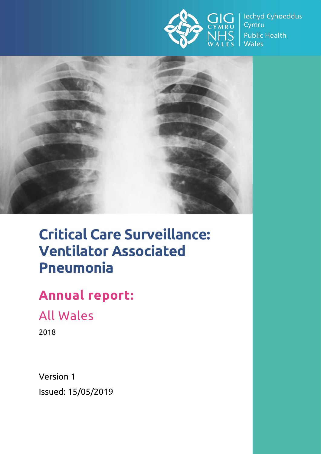

lechyd Cyhoeddus Cymru **Public Health Wales** 



# **Critical Care Surveillance: Ventilator Associated Pneumonia**

# **Annual report:**

All Wales

2018

Version 1 Issued: 15/05/2019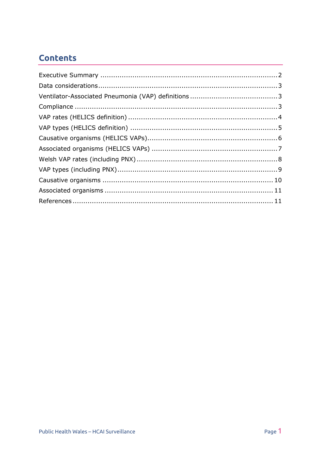# **Contents**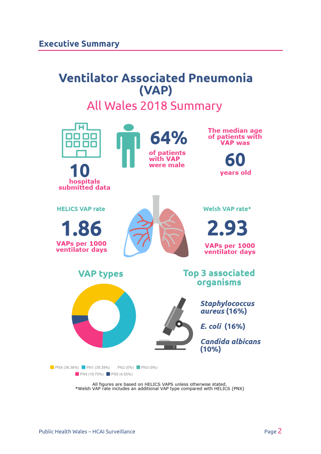# <span id="page-2-0"></span>**Ventilator Associated Pneumonia** (VAP)

# All Wales 2018 Summary



All figures are based on HELICS VAPS unless otherwise stated.<br>\*Welsh VAP rate includes an additional VAP type compared with HELICS (PNX)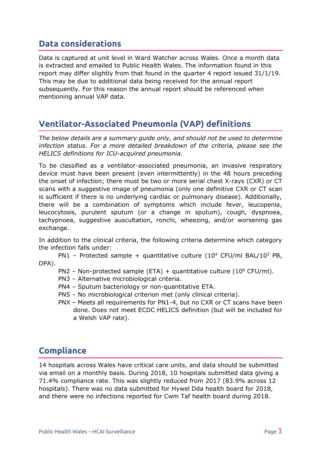### <span id="page-3-0"></span>**Data considerations**

Data is captured at unit level in Ward Watcher across Wales. Once a month data is extracted and emailed to Public Health Wales. The information found in this report may differ slightly from that found in the quarter 4 report issued 31/1/19. This may be due to additional data being received for the annual report subsequently. For this reason the annual report should be referenced when mentioning annual VAP data.

# <span id="page-3-1"></span>**Ventilator-Associated Pneumonia (VAP) definitions**

*The below details are a summary guide only, and should not be used to determine infection status. For a more detailed breakdown of the criteria, please see the HELICS definitions for ICU-acquired pneumonia.*

To be classified as a ventilator-associated pneumonia, an invasive respiratory device must have been present (even intermittently) in the 48 hours preceding the onset of infection; there must be two or more serial chest X-rays (CXR) or CT scans with a suggestive image of pneumonia (only one definitive CXR or CT scan is sufficient if there is no underlying cardiac or pulmonary disease). Additionally, there will be a combination of symptoms which include fever, leucopenia, leucocytosis, purulent sputum (or a change in sputum), cough, dyspnoea, tachypnoea, suggestive auscultation, ronchi, wheezing, and/or worsening gas exchange.

In addition to the clinical criteria, the following criteria determine which category the infection falls under:

PN1 – Protected sample + quantitative culture (10<sup>4</sup> CFU/ml BAL/10<sup>3</sup> PB, DPA).

- PN2 Non-protected sample (ETA) + quantitative culture ( $10^6$  CFU/ml).
- PN3 Alternative microbiological criteria.
- PN4 Sputum bacteriology or non-quantitative ETA.
- PN5 No microbiological criterion met (only clinical criteria).
- PNX Meets all requirements for PN1-4, but no CXR or CT scans have been done. Does not meet ECDC HELICS definition (but will be included for a Welsh VAP rate).

# <span id="page-3-2"></span>**Compliance**

14 hospitals across Wales have critical care units, and data should be submitted via email on a monthly basis. During 2018, 10 hospitals submitted data giving a 71.4% compliance rate. This was slightly reduced from 2017 (83.9% across 12 hospitals). There was no data submitted for Hywel Dda health board for 2018, and there were no infections reported for Cwm Taf health board during 2018.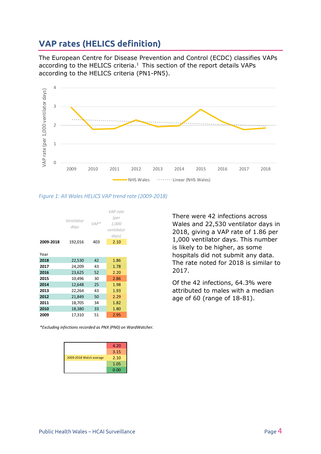### <span id="page-4-0"></span>**VAP rates (HELICS definition)**

The European Centre for Disease Prevention and Control (ECDC) classifies VAPs according to the HELICS criteria.<sup>1</sup> This section of the report details VAPs according to the HELICS criteria (PN1-PN5).



#### *Figure 1: All Wales HELICS VAP trend rate (2009-2018)*



*\*Excluding infections recorded as PNX (PN0) on WardWatcher.*

|                         | 4.20 |
|-------------------------|------|
|                         | 3.15 |
| 2009-2018 Welsh average | 2.10 |
|                         | 1.05 |
|                         | 0.00 |

There were 42 infections across Wales and 22,530 ventilator days in 2018, giving a VAP rate of 1.86 per 1,000 ventilator days. This number is likely to be higher, as some hospitals did not submit any data. The rate noted for 2018 is similar to 2017.

Of the 42 infections, 64.3% were attributed to males with a median age of 60 (range of 18-81).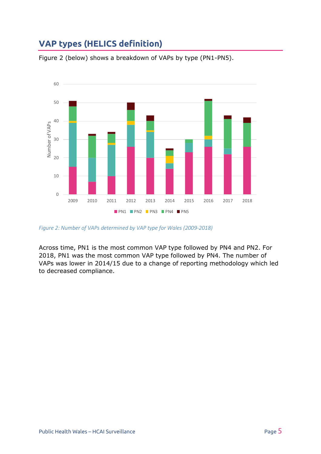# <span id="page-5-0"></span>**VAP types (HELICS definition)**



Figure 2 (below) shows a breakdown of VAPs by type (PN1-PN5).

*Figure 2: Number of VAPs determined by VAP type for Wales (2009-2018)*

Across time, PN1 is the most common VAP type followed by PN4 and PN2. For 2018, PN1 was the most common VAP type followed by PN4. The number of VAPs was lower in 2014/15 due to a change of reporting methodology which led to decreased compliance.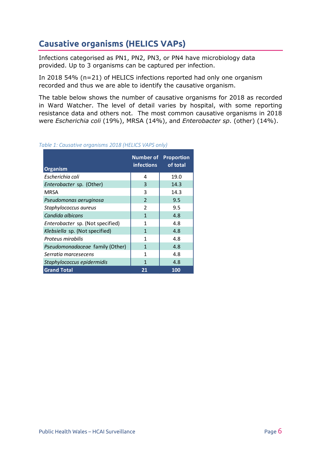# <span id="page-6-0"></span>**Causative organisms (HELICS VAPs)**

Infections categorised as PN1, PN2, PN3, or PN4 have microbiology data provided. Up to 3 organisms can be captured per infection.

In 2018 54% (n=21) of HELICS infections reported had only one organism recorded and thus we are able to identify the causative organism.

The table below shows the number of causative organisms for 2018 as recorded in Ward Watcher. The level of detail varies by hospital, with some reporting resistance data and others not. The most common causative organisms in 2018 were *Escherichia coli* (19%), MRSA (14%), and *Enterobacter sp*. (other) (14%).

#### **Organism Number of Proportion infections of total** *Escherichia coli* 4 19.0 *Enterobacter sp.* (Other) 14.3 MRSA 2014.3 *Pseudomonas aeruginosa* 2 9.5 *Staphylococcus aureus* 2 9.5 **Candida albicans** 1 4.8 *Enterobacter sp.* (Not specified) | 1 4.8 *Klebsiella* sp. (Not specified) 1 1 4.8 Proteus mirabilis 1 1 4.8 *Pseudomonadaceae* family (Other) 1 1 4.8 *Serratia marcesecens* 1 4.8 *Staphylococcus epidermidis* 1 4.8 **Grand Total 21 100**

#### *Table 1: Causative organisms 2018 (HELICS VAPS only)*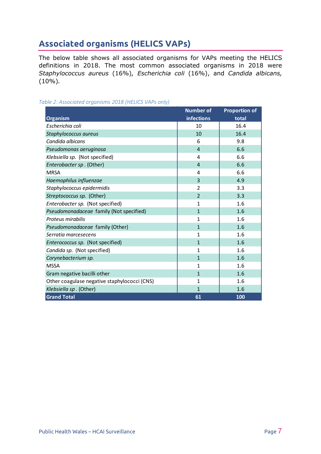# <span id="page-7-0"></span>**Associated organisms (HELICS VAPs)**

The below table shows all associated organisms for VAPs meeting the HELICS definitions in 2018. The most common associated organisms in 2018 were *Staphylococcus aureus* (16%)*, Escherichia coli* (16%), and *Candida albicans,*  (10%)*.*

*Table 2: Associated organisms 2018 (HELICS VAPs only)*

|                                              | <b>Number of</b>  | <b>Proportion of</b> |
|----------------------------------------------|-------------------|----------------------|
| <b>Organism</b>                              | <b>infections</b> | total                |
| Escherichia coli                             | 10                | 16.4                 |
| Staphylococcus aureus                        | 10                | 16.4                 |
| Candida albicans                             | 6                 | 9.8                  |
| Pseudomonas aeruginosa                       | $\overline{4}$    | 6.6                  |
| Klebsiella sp. (Not specified)               | 4                 | 6.6                  |
| Enterobacter sp. (Other)                     | 4                 | 6.6                  |
| <b>MRSA</b>                                  | 4                 | 6.6                  |
| Haemophilus influenzae                       | 3                 | 4.9                  |
| Staphylococcus epidermidis                   | 2                 | 3.3                  |
| Streptococcus sp. (Other)                    | $\overline{2}$    | 3.3                  |
| Enterobacter sp. (Not specified)             | 1                 | 1.6                  |
| Pseudomonadaceae family (Not specified)      | $\mathbf{1}$      | 1.6                  |
| Proteus mirabilis                            | 1                 | 1.6                  |
| Pseudomonadaceae family (Other)              | $\mathbf{1}$      | 1.6                  |
| Serratia marcesecens                         | 1                 | 1.6                  |
| Enterococcus sp. (Not specified)             | $\mathbf{1}$      | 1.6                  |
| Candida sp. (Not specified)                  | 1                 | 1.6                  |
| Corynebacterium sp.                          | $\mathbf{1}$      | 1.6                  |
| <b>MSSA</b>                                  | 1                 | 1.6                  |
| Gram negative bacilli other                  | $\mathbf{1}$      | 1.6                  |
| Other coagulase negative staphylococci (CNS) | 1                 | 1.6                  |
| Klebsiella sp. (Other)                       | $\mathbf{1}$      | 1.6                  |
| <b>Grand Total</b>                           | 61                | 100                  |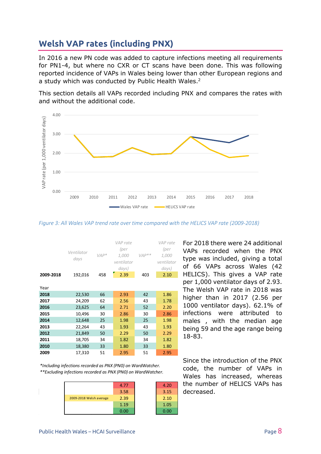## <span id="page-8-0"></span>**Welsh VAP rates (including PNX)**

In 2016 a new PN code was added to capture infections meeting all requirements for PN1-4, but where no CXR or CT scans have been done. This was following reported incidence of VAPs in Wales being lower than other European regions and a study which was conducted by Public Health Wales.<sup>2</sup>

This section details all VAPs recorded including PNX and compares the rates with and without the additional code.



*Figure 3: All Wales VAP trend rate over time compared with the HELICS VAP rate (2009-2018)*

|           | Ventilator<br>days | $VAP*$ | VAP rate<br>(per<br>1,000<br>ventilator<br>days) | $VAP**$ | VAP rate<br>(per<br>1,000<br>ventilator<br>days) |
|-----------|--------------------|--------|--------------------------------------------------|---------|--------------------------------------------------|
| 2009-2018 | 192,016            | 458    | 2.39                                             | 403     | 2.10                                             |
| Year      |                    |        |                                                  |         |                                                  |
| 2018      | 22,530             | 66     | 2.93                                             | 42      | 1.86                                             |
| 2017      | 24,209             | 62     | 2.56                                             | 43      | 1.78                                             |
| 2016      | 23,625             | 64     | 2.71                                             | 52      | 2.20                                             |
| 2015      | 10,496             | 30     | 2.86                                             | 30      | 2.86                                             |
| 2014      | 12,648             | 25     | 1.98                                             | 25      | 1.98                                             |
| 2013      | 22,264             | 43     | 1.93                                             | 43      | 1.93                                             |
| 2012      | 21,849             | 50     | 2.29                                             | 50      | 2.29                                             |
| 2011      | 18,705             | 34     | 1.82                                             | 34      | 1.82                                             |
| 2010      | 18,380             | 33     | 1.80                                             | 33      | 1.80                                             |
| 2009      | 17,310             | 51     | 2.95                                             | 51      | 2.95                                             |

*\*Including infections recorded as PNX (PN0) on WardWatcher. \*\*Excluding infections recorded as PNX (PN0) on WardWatcher.*



For 2018 there were 24 additional VAPs recorded when the PNX type was included, giving a total of 66 VAPs across Wales (42 HELICS). This gives a VAP rate per 1,000 ventilator days of 2.93. The Welsh VAP rate in 2018 was higher than in 2017 (2.56 per 1000 ventilator days). 62.1% of infections were attributed to males , with the median age being 59 and the age range being 18-83.

Since the introduction of the PNX code, the number of VAPs in Wales has increased, whereas the number of HELICS VAPs has decreased.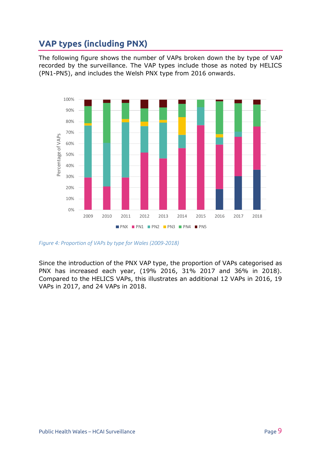# <span id="page-9-0"></span>**VAP types (including PNX)**

The following figure shows the number of VAPs broken down the by type of VAP recorded by the surveillance. The VAP types include those as noted by HELICS (PN1-PN5), and includes the Welsh PNX type from 2016 onwards.



*Figure 4: Proportion of VAPs by type for Wales (2009-2018)* 

Since the introduction of the PNX VAP type, the proportion of VAPs categorised as PNX has increased each year, (19% 2016, 31% 2017 and 36% in 2018). Compared to the HELICS VAPs, this illustrates an additional 12 VAPs in 2016, 19 VAPs in 2017, and 24 VAPs in 2018.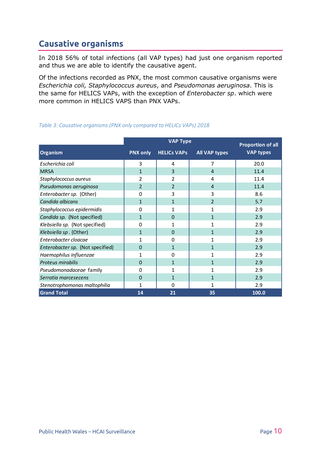## <span id="page-10-0"></span>**Causative organisms**

In 2018 56% of total infections (all VAP types) had just one organism reported and thus we are able to identify the causative agent.

Of the infections recorded as PNX, the most common causative organisms were *Escherichia coli, Staphylococcus aureus*, and *Pseudomonas aeruginosa*. This is the same for HELICS VAPs, with the exception of *Enterobacter sp*. which were more common in HELICS VAPS than PNX VAPs.

|                                  | <b>VAP Type</b> |                    |                      | <b>Proportion of all</b> |  |
|----------------------------------|-----------------|--------------------|----------------------|--------------------------|--|
| <b>Organism</b>                  | <b>PNX only</b> | <b>HELICS VAPS</b> | <b>All VAP types</b> | <b>VAP types</b>         |  |
| Escherichia coli                 | 3               | 4                  | 7                    | 20.0                     |  |
| <b>MRSA</b>                      | $\mathbf{1}$    | 3                  | 4                    | 11.4                     |  |
| Staphylococcus aureus            | 2               | 2                  | 4                    | 11.4                     |  |
| Pseudomonas aeruginosa           | $\overline{2}$  | $\overline{2}$     | $\overline{4}$       | 11.4                     |  |
| Enterobacter sp. (Other)         | 0               | 3                  | 3                    | 8.6                      |  |
| Candida albicans                 | $\mathbf{1}$    | $\mathbf{1}$       | $\overline{2}$       | 5.7                      |  |
| Staphylococcus epidermidis       | 0               | 1                  | 1                    | 2.9                      |  |
| Candida sp. (Not specified)      | 1               | $\Omega$           | 1                    | 2.9                      |  |
| Klebsiella sp. (Not specified)   | $\Omega$        | 1                  | 1                    | 2.9                      |  |
| Klebsiella sp. (Other)           | $\mathbf{1}$    | $\Omega$           | $\mathbf{1}$         | 2.9                      |  |
| Enterobacter cloacae             | 1               | $\Omega$           | 1                    | 2.9                      |  |
| Enterobacter sp. (Not specified) | $\Omega$        | $\mathbf{1}$       | $\mathbf 1$          | 2.9                      |  |
| Haemophilus influenzae           | 1               | $\Omega$           | 1                    | 2.9                      |  |
| Proteus mirabilis                | $\Omega$        | $\mathbf{1}$       | $\mathbf{1}$         | 2.9                      |  |
| Pseudomonadaceae family          | 0               | 1                  | 1                    | 2.9                      |  |
| Serratia marcesecens             | $\Omega$        | $\mathbf{1}$       | $\mathbf{1}$         | 2.9                      |  |
| Stenotrophomonas maltophilia     | 1               | $\Omega$           | 1                    | 2.9                      |  |
| <b>Grand Total</b>               | 14              | 21                 | 35                   | 100.0                    |  |

#### *Table 3: Causative organisms (PNX only compared to HELICs VAPs) 2018*